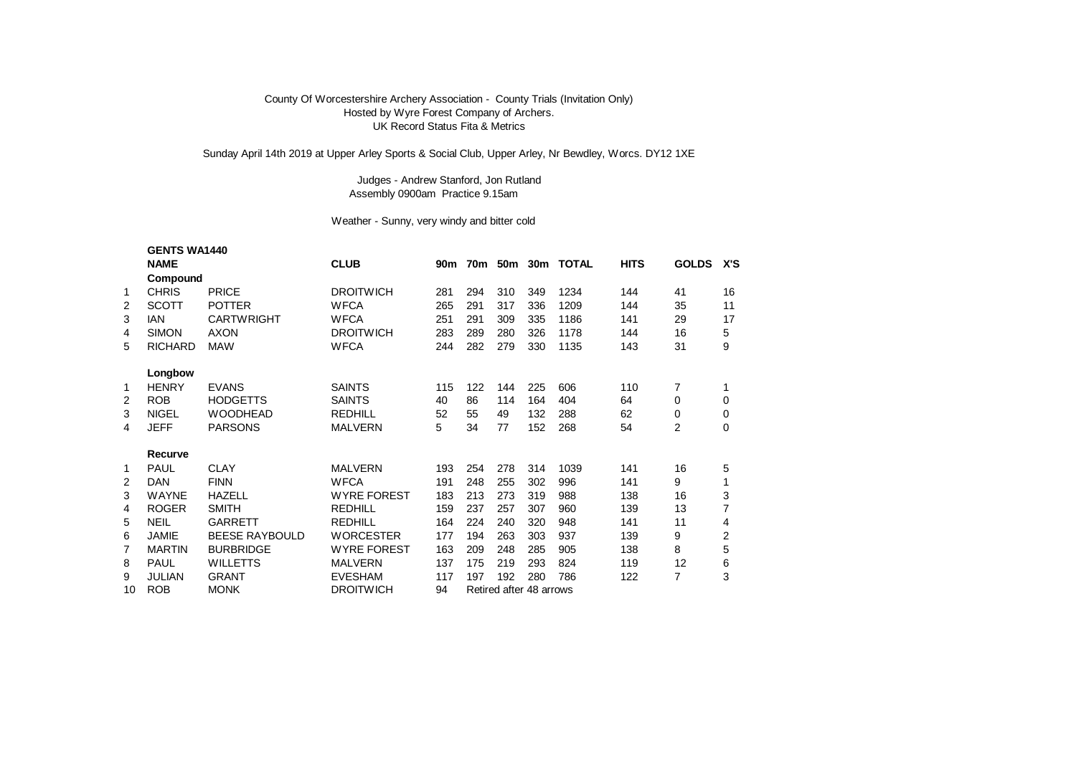## County Of Worcestershire Archery Association - County Trials (Invitation Only) Hosted by Wyre Forest Company of Archers. UK Record Status Fita & Metrics

Sunday April 14th 2019 at Upper Arley Sports & Social Club, Upper Arley, Nr Bewdley, Worcs. DY12 1XE

## Judges - Andrew Stanford, Jon Rutland Assembly 0900am Practice 9.15am

## Weather - Sunny, very windy and bitter cold

|    | <b>GENTS WA1440</b> |                       |                    |     |                         |     |     |                   |             |                |     |
|----|---------------------|-----------------------|--------------------|-----|-------------------------|-----|-----|-------------------|-------------|----------------|-----|
|    | <b>NAME</b>         |                       | <b>CLUB</b>        | 90m |                         |     |     | 70m 50m 30m TOTAL | <b>HITS</b> | <b>GOLDS</b>   | X'S |
|    | Compound            |                       |                    |     |                         |     |     |                   |             |                |     |
| 1  | <b>CHRIS</b>        | <b>PRICE</b>          | <b>DROITWICH</b>   | 281 | 294                     | 310 | 349 | 1234              | 144         | 41             | 16  |
| 2  | <b>SCOTT</b>        | <b>POTTER</b>         | <b>WFCA</b>        | 265 | 291                     | 317 | 336 | 1209              | 144         | 35             | 11  |
| 3  | <b>IAN</b>          | <b>CARTWRIGHT</b>     | <b>WFCA</b>        | 251 | 291                     | 309 | 335 | 1186              | 141         | 29             | 17  |
| 4  | <b>SIMON</b>        | <b>AXON</b>           | <b>DROITWICH</b>   | 283 | 289                     | 280 | 326 | 1178              | 144         | 16             | 5   |
| 5  | <b>RICHARD</b>      | <b>MAW</b>            | <b>WFCA</b>        | 244 | 282                     | 279 | 330 | 1135              | 143         | 31             | 9   |
|    | Longbow             |                       |                    |     |                         |     |     |                   |             |                |     |
| 1  | <b>HENRY</b>        | <b>EVANS</b>          | <b>SAINTS</b>      | 115 | 122                     | 144 | 225 | 606               | 110         | 7              |     |
| 2  | <b>ROB</b>          | <b>HODGETTS</b>       | <b>SAINTS</b>      | 40  | 86                      | 114 | 164 | 404               | 64          | 0              | 0   |
| 3  | <b>NIGEL</b>        | <b>WOODHEAD</b>       | <b>REDHILL</b>     | 52  | 55                      | 49  | 132 | 288               | 62          | 0              | 0   |
| 4  | <b>JEFF</b>         | <b>PARSONS</b>        | <b>MALVERN</b>     | 5   | 34                      | 77  | 152 | 268               | 54          | $\overline{2}$ | 0   |
|    | Recurve             |                       |                    |     |                         |     |     |                   |             |                |     |
| 1  | <b>PAUL</b>         | <b>CLAY</b>           | <b>MALVERN</b>     | 193 | 254                     | 278 | 314 | 1039              | 141         | 16             | 5   |
| 2  | DAN                 | <b>FINN</b>           | <b>WFCA</b>        | 191 | 248                     | 255 | 302 | 996               | 141         | 9              |     |
| 3  | <b>WAYNE</b>        | <b>HAZELL</b>         | <b>WYRE FOREST</b> | 183 | 213                     | 273 | 319 | 988               | 138         | 16             | 3   |
| 4  | <b>ROGER</b>        | <b>SMITH</b>          | <b>REDHILL</b>     | 159 | 237                     | 257 | 307 | 960               | 139         | 13             | 7   |
| 5  | <b>NEIL</b>         | GARRETT               | <b>REDHILL</b>     | 164 | 224                     | 240 | 320 | 948               | 141         | 11             | 4   |
| 6  | JAMIE               | <b>BEESE RAYBOULD</b> | <b>WORCESTER</b>   | 177 | 194                     | 263 | 303 | 937               | 139         | 9              | 2   |
| 7  | <b>MARTIN</b>       | <b>BURBRIDGE</b>      | <b>WYRE FOREST</b> | 163 | 209                     | 248 | 285 | 905               | 138         | 8              | 5   |
| 8  | <b>PAUL</b>         | <b>WILLETTS</b>       | <b>MALVERN</b>     | 137 | 175                     | 219 | 293 | 824               | 119         | 12             | 6   |
| 9  | JULIAN              | <b>GRANT</b>          | <b>EVESHAM</b>     | 117 | 197                     | 192 | 280 | 786               | 122         | 7              | 3   |
| 10 | <b>ROB</b>          | <b>MONK</b>           | <b>DROITWICH</b>   | 94  | Retired after 48 arrows |     |     |                   |             |                |     |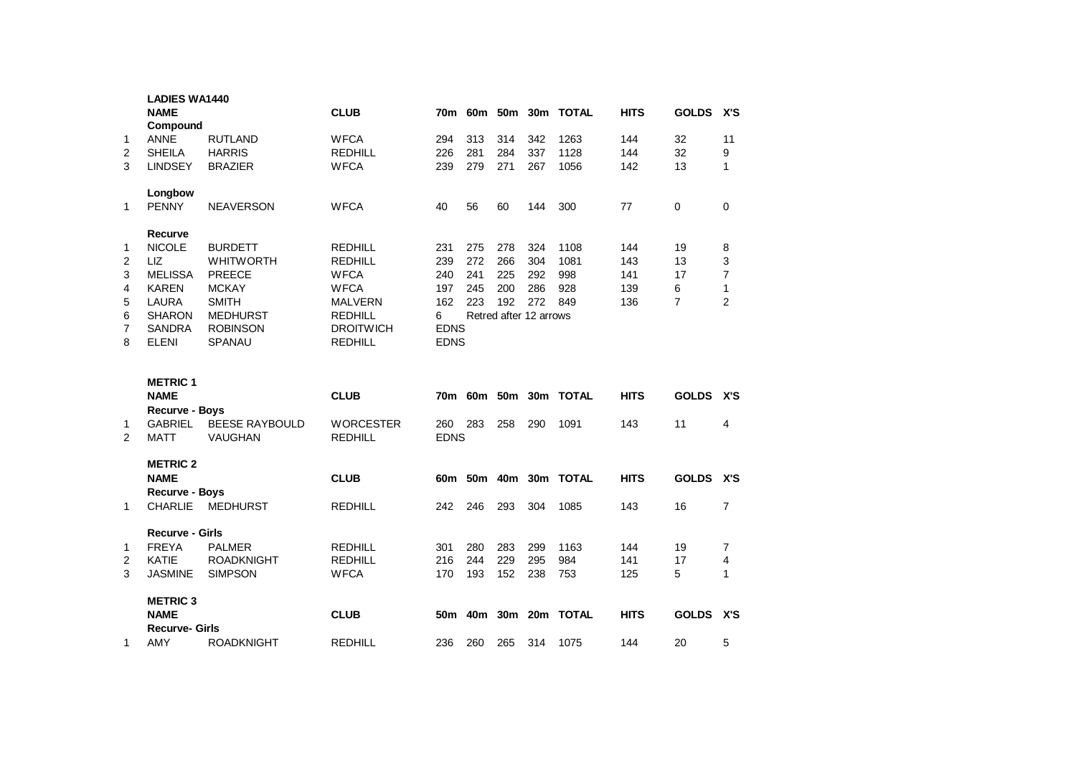|                | <b>LADIES WA1440</b><br><b>NAME</b><br>Compound        |                                                   | <b>CLUB</b>                                  |                    |                   |                   |                        | 70m 60m 50m 30m TOTAL | <b>HITS</b>       | <b>GOLDS</b>   | X'S                            |
|----------------|--------------------------------------------------------|---------------------------------------------------|----------------------------------------------|--------------------|-------------------|-------------------|------------------------|-----------------------|-------------------|----------------|--------------------------------|
| 1<br>2<br>3    | <b>ANNE</b><br><b>SHEILA</b><br><b>LINDSEY</b>         | <b>RUTLAND</b><br><b>HARRIS</b><br><b>BRAZIER</b> | <b>WFCA</b><br><b>REDHILL</b><br><b>WFCA</b> | 294<br>226<br>239  | 313<br>281<br>279 | 314<br>284<br>271 | 342<br>337<br>267      | 1263<br>1128<br>1056  | 144<br>144<br>142 | 32<br>32<br>13 | 11<br>9<br>1                   |
| 1              | Longbow<br><b>PENNY</b>                                | <b>NEAVERSON</b>                                  | <b>WFCA</b>                                  | 40                 | 56                | 60                | 144                    | 300                   | 77                | $\Omega$       | $\Omega$                       |
|                | Recurve                                                |                                                   |                                              |                    |                   |                   |                        |                       |                   |                |                                |
| 1              | <b>NICOLE</b>                                          | <b>BURDETT</b>                                    | <b>REDHILL</b>                               | 231                | 275               | 278               | 324                    | 1108                  | 144               | 19             | 8                              |
| 2              | LIZ<br><b>MELISSA</b>                                  | <b>WHITWORTH</b><br><b>PREECE</b>                 | <b>REDHILL</b><br><b>WFCA</b>                | 239<br>240         | 272<br>241        | 266<br>225        | 304<br>292             | 1081<br>998           | 143<br>141        | 13<br>17       | 3                              |
| 3<br>4         | <b>KAREN</b>                                           | <b>MCKAY</b>                                      | <b>WFCA</b>                                  | 197                | 245               | 200               | 286                    | 928                   | 139               | 6              | $\overline{7}$<br>$\mathbf{1}$ |
| 5              | <b>LAURA</b>                                           | <b>SMITH</b>                                      | <b>MALVERN</b>                               | 162                | 223               | 192               | 272                    | 849                   | 136               | $\overline{7}$ | $\overline{2}$                 |
| 6              | <b>SHARON</b>                                          | <b>MEDHURST</b>                                   | <b>REDHILL</b>                               | 6                  |                   |                   | Retred after 12 arrows |                       |                   |                |                                |
| $\overline{7}$ | <b>SANDRA</b>                                          | <b>ROBINSON</b>                                   | <b>DROITWICH</b>                             | <b>EDNS</b>        |                   |                   |                        |                       |                   |                |                                |
| 8              | <b>ELENI</b>                                           | <b>SPANAU</b>                                     | <b>REDHILL</b>                               |                    | <b>EDNS</b>       |                   |                        |                       |                   |                |                                |
|                | <b>METRIC 1</b>                                        |                                                   |                                              |                    |                   |                   |                        |                       |                   |                |                                |
|                | <b>NAME</b>                                            |                                                   | <b>CLUB</b>                                  |                    |                   |                   |                        |                       |                   |                |                                |
|                |                                                        |                                                   |                                              | 70m                |                   |                   |                        | 60m 50m 30m TOTAL     | <b>HITS</b>       | <b>GOLDS</b>   | X'S                            |
| 1<br>2         | <b>Recurve - Boys</b><br><b>GABRIEL</b><br><b>MATT</b> | <b>BEESE RAYBOULD</b><br><b>VAUGHAN</b>           | <b>WORCESTER</b><br><b>REDHILL</b>           | 260<br><b>EDNS</b> | 283               | 258               | 290                    | 1091                  | 143               | 11             | 4                              |
|                | <b>METRIC 2</b>                                        |                                                   |                                              |                    |                   |                   |                        |                       |                   |                |                                |
|                | <b>NAME</b>                                            |                                                   | <b>CLUB</b>                                  |                    |                   |                   |                        | 60m 50m 40m 30m TOTAL | <b>HITS</b>       | <b>GOLDS</b>   | X'S                            |
| 1              | <b>Recurve - Boys</b><br><b>CHARLIE</b>                | <b>MEDHURST</b>                                   | <b>REDHILL</b>                               | 242                | 246               | 293               | 304                    | 1085                  | 143               | 16             | $\overline{7}$                 |
|                | <b>Recurve - Girls</b>                                 |                                                   |                                              |                    |                   |                   |                        |                       |                   |                |                                |
| 1              | <b>FREYA</b>                                           | <b>PALMER</b>                                     | <b>REDHILL</b>                               | 301                | 280               | 283               | 299                    | 1163                  | 144               | 19             | $\overline{7}$                 |
| 2<br>3         | <b>KATIE</b><br><b>JASMINE</b>                         | <b>ROADKNIGHT</b>                                 | <b>REDHILL</b>                               | 216<br>170         | 244<br>193        | 229<br>152        | 295<br>238             | 984<br>753            | 141               | 17<br>5        | $\overline{\mathbf{4}}$<br>1   |
|                |                                                        | <b>SIMPSON</b>                                    | <b>WFCA</b>                                  |                    |                   |                   |                        |                       | 125               |                |                                |
|                | <b>METRIC 3</b><br><b>NAME</b>                         |                                                   | <b>CLUB</b>                                  |                    |                   |                   |                        | 50m 40m 30m 20m TOTAL | <b>HITS</b>       | <b>GOLDS</b>   | X'S                            |
| 1              | <b>Recurve- Girls</b><br>AMY                           | <b>ROADKNIGHT</b>                                 | <b>REDHILL</b>                               | 236                | 260               | 265               | 314                    | 1075                  | 144               | 20             | 5                              |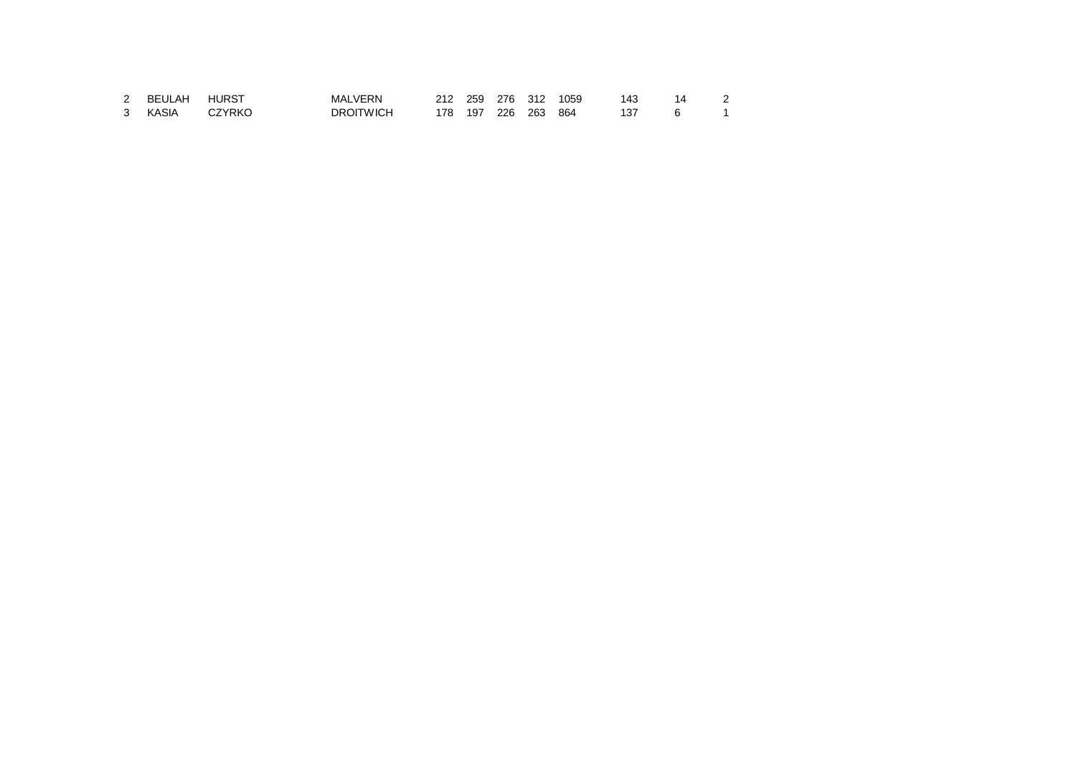| BEULAH | <b>HURST</b> | <b>MALVERN</b> | 212 |     | 259 276 312 | 1059 | 143 | 14 |  |
|--------|--------------|----------------|-----|-----|-------------|------|-----|----|--|
| KASIA  | CZYRKO       | DROITWICH      | 178 | 197 | 226 263     | 864  |     |    |  |